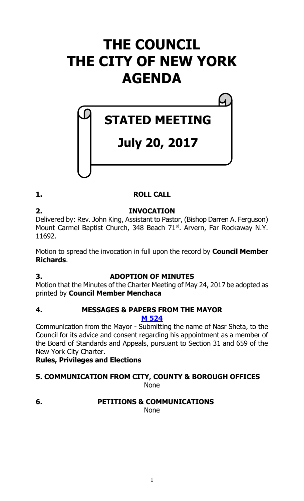# **THE COUNCIL THE CITY OF NEW YORK AGENDA**

## **STATED MEETING**

## **July 20, 2017**

### **1. ROLL CALL**

**2. INVOCATION** Delivered by: Rev. John King, Assistant to Pastor, (Bishop Darren A. Ferguson) Mount Carmel Baptist Church, 348 Beach 71<sup>st</sup>. Arvern, Far Rockaway N.Y. 11692.

Motion to spread the invocation in full upon the record by **Council Member Richards**.

### **3. ADOPTION OF MINUTES**

Motion that the Minutes of the Charter Meeting of May 24, 2017 be adopted as printed by **Council Member Menchaca**

#### **4. MESSAGES & PAPERS FROM THE MAYOR M [524](http://legistar.council.nyc.gov/LegislationDetail.aspx?ID=3106726&GUID=F93C682C-E62D-41A6-A839-C43CC0B5C070&Options=&Search=)**

Communication from the Mayor - Submitting the name of Nasr Sheta, to the Council for its advice and consent regarding his appointment as a member of the Board of Standards and Appeals, pursuant to Section 31 and 659 of the New York City Charter.

**Rules, Privileges and Elections**

## **5. COMMUNICATION FROM CITY, COUNTY & BOROUGH OFFICES**

None

**6. PETITIONS & COMMUNICATIONS**

None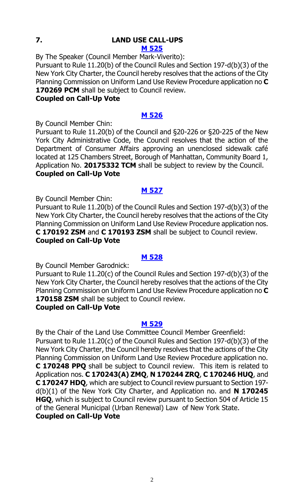### **7. LAND USE CALL-UPS**

**M [525](http://legistar.council.nyc.gov/LegislationDetail.aspx?ID=3106729&GUID=DC07F50F-A156-414A-9167-90ADB0051250&Options=&Search=)**

By The Speaker (Council Member Mark-Viverito): Pursuant to Rule 11.20(b) of the Council Rules and Section 197-d(b)(3) of the New York City Charter, the Council hereby resolves that the actions of the City Planning Commission on Uniform Land Use Review Procedure application no **C 170269 PCM** shall be subject to Council review.

#### **Coupled on Call-Up Vote**

### **M [526](http://legistar.council.nyc.gov/LegislationDetail.aspx?ID=3106727&GUID=46F31B38-BB95-406D-A227-5D24E66D993D&Options=&Search=)**

By Council Member Chin:

Pursuant to Rule 11.20(b) of the Council and §20-226 or §20-225 of the New York City Administrative Code, the Council resolves that the action of the Department of Consumer Affairs approving an unenclosed sidewalk café located at 125 Chambers Street, Borough of Manhattan, Community Board 1, Application No. **20175332 TCM** shall be subject to review by the Council. **Coupled on Call-Up Vote**

### **M [527](http://legistar.council.nyc.gov/LegislationDetail.aspx?ID=3106728&GUID=4B6D4FBD-42FA-463B-ABB2-913FA92933B2&Options=&Search=)**

By Council Member Chin:

Pursuant to Rule 11.20(b) of the Council Rules and Section 197-d(b)(3) of the New York City Charter, the Council hereby resolves that the actions of the City Planning Commission on Uniform Land Use Review Procedure application nos. **C 170192 ZSM** and **C 170193 ZSM** shall be subject to Council review. **Coupled on Call-Up Vote**

#### **M [528](http://legistar.council.nyc.gov/LegislationDetail.aspx?ID=3106738&GUID=38DFBD2E-F534-43DB-B674-DAC55708289E&Options=&Search=)**

By Council Member Garodnick:

Pursuant to Rule 11.20(c) of the Council Rules and Section 197-d(b)(3) of the New York City Charter, the Council hereby resolves that the actions of the City Planning Commission on Uniform Land Use Review Procedure application no **C 170158 ZSM** shall be subject to Council review.

### **Coupled on Call-Up Vote**

### **M [529](http://legistar.council.nyc.gov/LegislationDetail.aspx?ID=3106744&GUID=607F5D3F-E7E4-42DC-859D-6BC455C55DF7&Options=&Search=)**

By the Chair of the Land Use Committee Council Member Greenfield: Pursuant to Rule 11.20(c) of the Council Rules and Section 197-d(b)(3) of the New York City Charter, the Council hereby resolves that the actions of the City Planning Commission on Uniform Land Use Review Procedure application no. **C 170248 PPQ** shall be subject to Council review. This item is related to Application nos. **C 170243(A) ZMQ**, **N 170244 ZRQ**, **C 170246 HUQ**, and **C 170247 HDQ**, which are subject to Council review pursuant to Section 197 d(b)(1) of the New York City Charter, and Application no. and **N 170245 HGQ**, which is subject to Council review pursuant to Section 504 of Article 15 of the General Municipal (Urban Renewal) Law of New York State.

**Coupled on Call-Up Vote**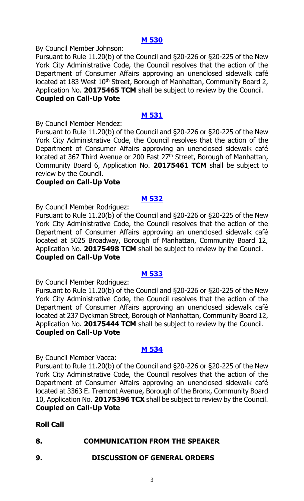#### **M [530](http://legistar.council.nyc.gov/LegislationDetail.aspx?ID=3106739&GUID=0487AB06-F0C4-4442-AF39-CDB61F8AE148&Options=&Search=)**

By Council Member Johnson:

Pursuant to Rule 11.20(b) of the Council and §20-226 or §20-225 of the New York City Administrative Code, the Council resolves that the action of the Department of Consumer Affairs approving an unenclosed sidewalk café located at 183 West 10<sup>th</sup> Street, Borough of Manhattan, Community Board 2, Application No. **20175465 TCM** shall be subject to review by the Council. **Coupled on Call-Up Vote**

### **M [531](http://legistar.council.nyc.gov/LegislationDetail.aspx?ID=3106740&GUID=13419E42-3FFB-4060-B817-9090EA0A05EF&Options=&Search=)**

By Council Member Mendez:

Pursuant to Rule 11.20(b) of the Council and §20-226 or §20-225 of the New York City Administrative Code, the Council resolves that the action of the Department of Consumer Affairs approving an unenclosed sidewalk café located at 367 Third Avenue or 200 East 27<sup>th</sup> Street, Borough of Manhattan, Community Board 6, Application No. **20175461 TCM** shall be subject to review by the Council.

### **Coupled on Call-Up Vote**

### **M [532](http://legistar.council.nyc.gov/LegislationDetail.aspx?ID=3106741&GUID=8EA62979-F89D-43A8-AD9A-3A340D291FBC&Options=&Search=)**

By Council Member Rodriguez:

Pursuant to Rule 11.20(b) of the Council and §20-226 or §20-225 of the New York City Administrative Code, the Council resolves that the action of the Department of Consumer Affairs approving an unenclosed sidewalk café located at 5025 Broadway, Borough of Manhattan, Community Board 12, Application No. **20175498 TCM** shall be subject to review by the Council. **Coupled on Call-Up Vote**

### **M [533](http://legistar.council.nyc.gov/LegislationDetail.aspx?ID=3106742&GUID=4AF994E6-71A3-441B-A7AA-879EFCB3B861&Options=&Search=)**

By Council Member Rodriguez:

Pursuant to Rule 11.20(b) of the Council and §20-226 or §20-225 of the New York City Administrative Code, the Council resolves that the action of the Department of Consumer Affairs approving an unenclosed sidewalk café located at 237 Dyckman Street, Borough of Manhattan, Community Board 12, Application No. **20175444 TCM** shall be subject to review by the Council. **Coupled on Call-Up Vote**

### **M [534](http://legistar.council.nyc.gov/LegislationDetail.aspx?ID=3106743&GUID=CB2C70F2-C7C7-4310-983D-79AF1C185F21&Options=&Search=)**

By Council Member Vacca:

Pursuant to Rule 11.20(b) of the Council and §20-226 or §20-225 of the New York City Administrative Code, the Council resolves that the action of the Department of Consumer Affairs approving an unenclosed sidewalk café located at 3363 E. Tremont Avenue, Borough of the Bronx, Community Board 10, Application No. **20175396 TCX** shall be subject to review by the Council. **Coupled on Call-Up Vote**

### **Roll Call**

### **8. COMMUNICATION FROM THE SPEAKER**

### **9. DISCUSSION OF GENERAL ORDERS**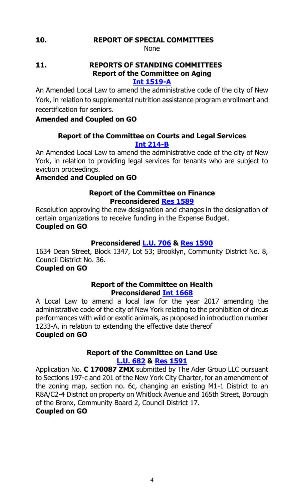### **10. REPORT OF SPECIAL COMMITTEES**

None

### **11. REPORTS OF STANDING COMMITTEES Report of the Committee on Aging**

**[Int 1519-A](http://legistar.council.nyc.gov/LegislationDetail.aspx?ID=2984630&GUID=CA0D8DAF-64B1-4CAE-8B62-CA9FF9139818&Options=&Search=)**

An Amended Local Law to amend the administrative code of the city of New York, in relation to supplemental nutrition assistance program enrollment and recertification for seniors.

### **Amended and Coupled on GO**

### **Report of the Committee on Courts and Legal Services [Int 214-B](http://legistar.council.nyc.gov/LegislationDetail.aspx?ID=1687978&GUID=29A4594B-9E8A-4C5E-A797-96BDC4F64F80&Options=&Search=)**

An Amended Local Law to amend the administrative code of the city of New York, in relation to providing legal services for tenants who are subject to eviction proceedings.

### **Amended and Coupled on GO**

### **Report of the Committee on Finance Preconsidered Res [1589](http://legistar.council.nyc.gov/LegislationDetail.aspx?ID=3103068&GUID=A9B08068-9100-45E6-8758-5C646D279657&Options=&Search=)**

Resolution approving the new designation and changes in the designation of certain organizations to receive funding in the Expense Budget. **Coupled on GO**

### **Preconsidered [L.U.](http://legistar.council.nyc.gov/LegislationDetail.aspx?ID=3103071&GUID=B642F0B3-C92D-4288-8999-50A850F1A3C9&Options=&Search=) 706 & Res [1590](http://legistar.council.nyc.gov/LegislationDetail.aspx?ID=3106906&GUID=11F75C5E-BD6C-4030-BC94-3658448420FB&Options=&Search=)**

1634 Dean Street, Block 1347, Lot 53; Brooklyn, Community District No. 8, Council District No. 36.

### **Coupled on GO**

### **Report of the Committee on Health Preconsidered Int [1668](http://legistar.council.nyc.gov/LegislationDetail.aspx?ID=3103627&GUID=39CEF469-C2EB-4F89-9352-BC8502ECBEC4&Options=&Search=)**

A Local Law to amend a local law for the year 2017 amending the administrative code of the city of New York relating to the prohibition of circus performances with wild or exotic animals, as proposed in introduction number 1233-A, in relation to extending the effective date thereof **Coupled on GO**

### **Report of the Committee on Land Use [L.U. 682](http://legistar.council.nyc.gov/LegislationDetail.aspx?ID=3081504&GUID=5B4F337C-7BEE-4910-A41A-239C6499D9F8&Options=&Search=) & Res [1591](http://legistar.council.nyc.gov/LegislationDetail.aspx?ID=3106117&GUID=834C1AF8-1126-4F38-8A1D-31F53C611555&Options=&Search=)**

Application No. **C 170087 ZMX** submitted by The Ader Group LLC pursuant to Sections 197-c and 201 of the New York City Charter, for an amendment of the zoning map, section no. 6c, changing an existing M1-1 District to an R8A/C2-4 District on property on Whitlock Avenue and 165th Street, Borough of the Bronx, Community Board 2, Council District 17.

### **Coupled on GO**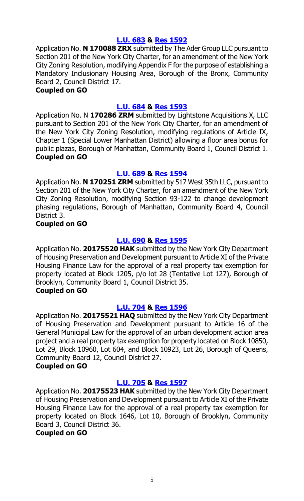### **[L.U. 683](http://legistar.council.nyc.gov/LegislationDetail.aspx?ID=3081505&GUID=35F63684-5F95-4F15-AF5B-E730AA655511&Options=&Search=) & Res [1592](http://legistar.council.nyc.gov/LegislationDetail.aspx?ID=3106118&GUID=A55AE4F0-FBF4-4CF7-9EAC-2D60D1643AC4&Options=&Search=)**

Application No. **N 170088 ZRX** submitted by The Ader Group LLC pursuant to Section 201 of the New York City Charter, for an amendment of the New York City Zoning Resolution, modifying Appendix F for the purpose of establishing a Mandatory Inclusionary Housing Area, Borough of the Bronx, Community Board 2, Council District 17.

### **Coupled on GO**

### **[L.U. 684](http://legistar.council.nyc.gov/LegislationDetail.aspx?ID=3081506&GUID=0EB5B9D9-F5CC-4F8F-8610-B12836E23737&Options=&Search=) & Res [1593](http://legistar.council.nyc.gov/LegislationDetail.aspx?ID=3106119&GUID=0CFBCF8A-4597-4AB8-A606-C76BB364A426&Options=&Search=)**

Application No. N **170286 ZRM** submitted by Lightstone Acquisitions X, LLC pursuant to Section 201 of the New York City Charter, for an amendment of the New York City Zoning Resolution, modifying regulations of Article IX, Chapter 1 (Special Lower Manhattan District) allowing a floor area bonus for public plazas, Borough of Manhattan, Community Board 1, Council District 1. **Coupled on GO**

### **[L.U. 689](http://legistar.council.nyc.gov/LegislationDetail.aspx?ID=3081502&GUID=57F8656F-2835-4DE3-A7FA-838B1CDFA639&Options=&Search=) & Res [1594](http://legistar.council.nyc.gov/LegislationDetail.aspx?ID=3106120&GUID=D157DB71-D113-4BCC-ABB7-1D831AA2FA2C&Options=&Search=)**

Application No. **N 170251 ZRM** submitted by 517 West 35th LLC, pursuant to Section 201 of the New York City Charter, for an amendment of the New York City Zoning Resolution, modifying Section 93-122 to change development phasing regulations, Borough of Manhattan, Community Board 4, Council District 3.

### **Coupled on GO**

### **[L.U. 690](http://legistar.council.nyc.gov/LegislationDetail.aspx?ID=3081503&GUID=DED35E07-1C6A-430C-AC23-6310AB22E204&Options=&Search=) & Res [1595](http://legistar.council.nyc.gov/LegislationDetail.aspx?ID=3106121&GUID=8E63AD02-21BC-4415-A9E6-AC263F1564BB&Options=&Search=)**

Application No. **20175520 HAK** submitted by the New York City Department of Housing Preservation and Development pursuant to Article XI of the Private Housing Finance Law for the approval of a real property tax exemption for property located at Block 1205, p/o lot 28 (Tentative Lot 127), Borough of Brooklyn, Community Board 1, Council District 35.

### **Coupled on GO**

### **[L.U. 704](http://legistar.council.nyc.gov/LegislationDetail.aspx?ID=3086354&GUID=4359D9CA-5DF9-4247-9E1B-AD28D125360B&Options=&Search=) & Res [1596](http://legistar.council.nyc.gov/LegislationDetail.aspx?ID=3106122&GUID=F1BEAACE-E7F8-40A5-9C48-9E4F71672870&Options=&Search=)**

Application No. **20175521 HAQ** submitted by the New York City Department of Housing Preservation and Development pursuant to Article 16 of the General Municipal Law for the approval of an urban development action area project and a real property tax exemption for property located on Block 10850, Lot 29, Block 10960, Lot 604, and Block 10923, Lot 26, Borough of Queens, Community Board 12, Council District 27.

### **Coupled on GO**

### **[L.U. 705](http://legistar.council.nyc.gov/LegislationDetail.aspx?ID=3086355&GUID=941F88C5-0CC3-4C6E-A27A-2213DAB0711A&Options=&Search=) & Res [1597](http://legistar.council.nyc.gov/LegislationDetail.aspx?ID=3106123&GUID=5E86C2AC-4043-4E1B-8E2F-6938436965DE&Options=&Search=)**

Application No. **20175523 HAK** submitted by the New York City Department of Housing Preservation and Development pursuant to Article XI of the Private Housing Finance Law for the approval of a real property tax exemption for property located on Block 1646, Lot 10, Borough of Brooklyn, Community Board 3, Council District 36.

### **Coupled on GO**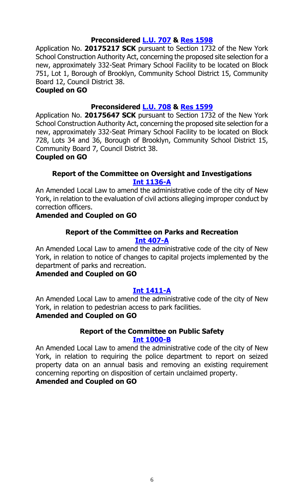### **Preconsidered [L.U. 707](http://legistar.council.nyc.gov/LegislationDetail.aspx?ID=3100134&GUID=BE273665-A23C-4AC5-B932-A0482D16F8C3&Options=&Search=) & Res [1598](http://legistar.council.nyc.gov/LegislationDetail.aspx?ID=3106124&GUID=E5D5E6BE-49B5-48EB-BE8B-9D9F792F53E6&Options=&Search=)**

Application No. **20175217 SCK** pursuant to Section 1732 of the New York School Construction Authority Act, concerning the proposed site selection for a new, approximately 332-Seat Primary School Facility to be located on Block 751, Lot 1, Borough of Brooklyn, Community School District 15, Community Board 12, Council District 38.

### **Coupled on GO**

### **Preconsidered [L.U. 708](http://legistar.council.nyc.gov/LegislationDetail.aspx?ID=3100135&GUID=94AD037E-4F55-4C76-A06A-688DA3D4CF2A&Options=&Search=) & Res [1599](http://legistar.council.nyc.gov/LegislationDetail.aspx?ID=3106125&GUID=5F163FC0-1098-439C-89C9-E09472F4D196&Options=&Search=)**

Application No. **20175647 SCK** pursuant to Section 1732 of the New York School Construction Authority Act, concerning the proposed site selection for a new, approximately 332-Seat Primary School Facility to be located on Block 728, Lots 34 and 36, Borough of Brooklyn, Community School District 15, Community Board 7, Council District 38.

#### **Coupled on GO**

### **Report of the Committee on Oversight and Investigations [Int 1136-A](http://legistar.council.nyc.gov/LegislationDetail.aspx?ID=2683838&GUID=B29B0325-77BB-40C2-B0E7-AB501EC02A4B&Options=&Search=)**

An Amended Local Law to amend the administrative code of the city of New York, in relation to the evaluation of civil actions alleging improper conduct by correction officers.

### **Amended and Coupled on GO**

#### **Report of the Committee on Parks and Recreation [Int 407-A](http://legistar.council.nyc.gov/LegislationDetail.aspx?ID=1825177&GUID=55198C60-50C9-4303-8E4E-783F82EB46DB&Options=&Search=)**

An Amended Local Law to amend the administrative code of the city of New York, in relation to notice of changes to capital projects implemented by the department of parks and recreation.

### **Amended and Coupled on GO**

### **[Int 1411-A](http://legistar.council.nyc.gov/LegislationDetail.aspx?ID=3105909&GUID=D00DDE24-999D-438C-A9A2-8CFBCBE587FC&Options=&Search=)**

An Amended Local Law to amend the administrative code of the city of New York, in relation to pedestrian access to park facilities.

### **Amended and Coupled on GO**

### **Report of the Committee on Public Safety**

#### **[Int 1000-B](http://legistar.council.nyc.gov/LegislationDetail.aspx?ID=2513763&GUID=0C33F58D-343A-4E86-85E8-F2D9452C7712&Options=&Search=)**

An Amended Local Law to amend the administrative code of the city of New York, in relation to requiring the police department to report on seized property data on an annual basis and removing an existing requirement concerning reporting on disposition of certain unclaimed property. **Amended and Coupled on GO**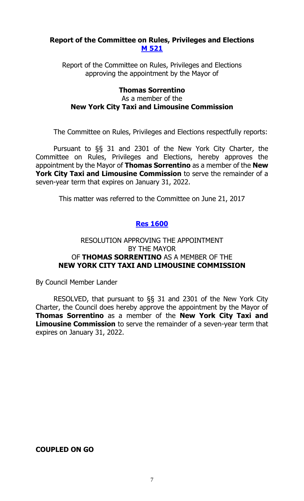### **Report of the Committee on Rules, Privileges and Elections [M 521](http://legistar.council.nyc.gov/LegislationDetail.aspx?ID=3085334&GUID=F97416A5-9B8B-4DF8-BFBB-285AFA648FE8&Options=&Search=)**

Report of the Committee on Rules, Privileges and Elections approving the appointment by the Mayor of

### **Thomas Sorrentino** As a member of the **New York City Taxi and Limousine Commission**

The Committee on Rules, Privileges and Elections respectfully reports:

Pursuant to §§ 31 and 2301 of the New York City Charter, the Committee on Rules, Privileges and Elections, hereby approves the appointment by the Mayor of **Thomas Sorrentino** as a member of the **New York City Taxi and Limousine Commission** to serve the remainder of a seven-year term that expires on January 31, 2022.

This matter was referred to the Committee on June 21, 2017

### **Res [1600](http://legistar.council.nyc.gov/LegislationDetail.aspx?ID=3106912&GUID=DAC0A3E2-D93C-4747-98E0-7B309A442F8B&Options=&Search=)**

### RESOLUTION APPROVING THE APPOINTMENT BY THE MAYOR OF **THOMAS SORRENTINO** AS A MEMBER OF THE **NEW YORK CITY TAXI AND LIMOUSINE COMMISSION**

By Council Member Lander

RESOLVED, that pursuant to §§ 31 and 2301 of the New York City Charter, the Council does hereby approve the appointment by the Mayor of **Thomas Sorrentino** as a member of the **New York City Taxi and Limousine Commission** to serve the remainder of a seven-year term that expires on January 31, 2022.

### **COUPLED ON GO**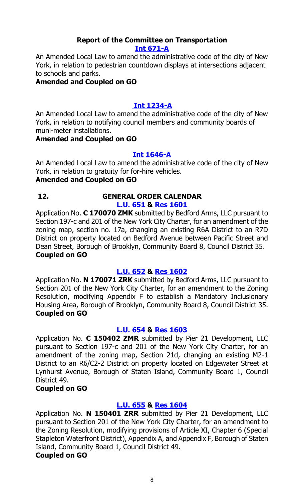#### **Report of the Committee on Transportation [Int 671-A](http://legistar.council.nyc.gov/LegislationDetail.aspx?ID=3105906&GUID=2C23700C-6C6A-405E-98B2-2F85176EBD64&Options=&Search=)**

An Amended Local Law to amend the administrative code of the city of New York, in relation to pedestrian countdown displays at intersections adjacent to schools and parks.

### **Amended and Coupled on GO**

### **[Int 1234-A](http://legistar.council.nyc.gov/LegislationDetail.aspx?ID=3105907&GUID=C9F0DF32-7B22-4908-A533-D555BFEF0D12&Options=&Search=)**

An Amended Local Law to amend the administrative code of the city of New York, in relation to notifying council members and community boards of muni-meter installations.

#### **Amended and Coupled on GO**

### **[Int 1646-A](http://legistar.council.nyc.gov/LegislationDetail.aspx?ID=3105908&GUID=3831B293-21BE-4B74-94AF-8C99F2125AF7&Options=&Search=)**

An Amended Local Law to amend the administrative code of the city of New York, in relation to gratuity for for-hire vehicles. **Amended and Coupled on GO**

#### **12. GENERAL ORDER CALENDAR [L.U. 651](http://legistar.council.nyc.gov/LegislationDetail.aspx?ID=3055730&GUID=BC0D40A9-4AE7-4975-AE94-08E34CCB7385&Options=&Search=) & Res [1601](http://legistar.council.nyc.gov/LegislationDetail.aspx?ID=3101088&GUID=D81DC75F-F52C-455C-9460-A0D0BFFAB403&Options=&Search=)**

Application No. **C 170070 ZMK** submitted by Bedford Arms, LLC pursuant to Section 197-c and 201 of the New York City Charter, for an amendment of the zoning map, section no. 17a, changing an existing R6A District to an R7D District on property located on Bedford Avenue between Pacific Street and Dean Street, Borough of Brooklyn, Community Board 8, Council District 35. **Coupled on GO**

### **[L.U. 652](http://legistar.council.nyc.gov/LegislationDetail.aspx?ID=3055731&GUID=D9ED01C8-711E-4ECD-8AE6-965B94501BE7&Options=&Search=) & Res [1602](http://legistar.council.nyc.gov/LegislationDetail.aspx?ID=3101089&GUID=2EF21E6A-182D-4253-97D1-8ACCD5EBB164&Options=&Search=)**

Application No. **N 170071 ZRK** submitted by Bedford Arms, LLC pursuant to Section 201 of the New York City Charter, for an amendment to the Zoning Resolution, modifying Appendix F to establish a Mandatory Inclusionary Housing Area, Borough of Brooklyn, Community Board 8, Council District 35. **Coupled on GO**

### **[L.U. 654](http://legistar.council.nyc.gov/LegislationDetail.aspx?ID=3055733&GUID=8E59F716-1626-4861-A75C-8F61B70A6406&Options=&Search=) & Res [1603](http://legistar.council.nyc.gov/LegislationDetail.aspx?ID=3101084&GUID=6BA4450A-1897-4038-88B4-FEAED82A97A6&Options=&Search=)**

Application No. **C 150402 ZMR** submitted by Pier 21 Development, LLC pursuant to Section 197-c and 201 of the New York City Charter, for an amendment of the zoning map, Section 21d, changing an existing M2-1 District to an R6/C2-2 District on property located on Edgewater Street at Lynhurst Avenue, Borough of Staten Island, Community Board 1, Council District 49.

### **Coupled on GO**

### **[L.U. 655](http://legistar.council.nyc.gov/LegislationDetail.aspx?ID=3055734&GUID=75277DE3-C0C6-423E-9751-1F6EB4F9B204&Options=&Search=) & Res [1604](http://legistar.council.nyc.gov/LegislationDetail.aspx?ID=3101090&GUID=9C72269E-9D46-48AB-BF66-917FCDF5D406&Options=&Search=)**

Application No. **N 150401 ZRR** submitted by Pier 21 Development, LLC pursuant to Section 201 of the New York City Charter, for an amendment to the Zoning Resolution, modifying provisions of Article XI, Chapter 6 (Special Stapleton Waterfront District), Appendix A, and Appendix F, Borough of Staten Island, Community Board 1, Council District 49.

### **Coupled on GO**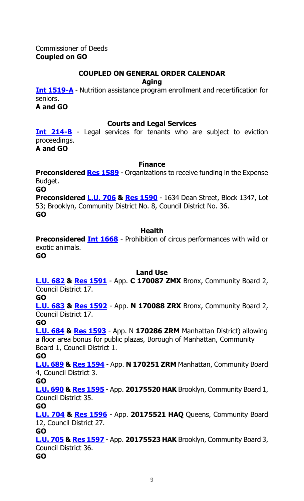Commissioner of Deeds **Coupled on GO**

### **COUPLED ON GENERAL ORDER CALENDAR**

**Aging**

**[Int 1519-A](http://legistar.council.nyc.gov/LegislationDetail.aspx?ID=2984630&GUID=CA0D8DAF-64B1-4CAE-8B62-CA9FF9139818&Options=&Search=)** - Nutrition assistance program enrollment and recertification for seniors.

**A and GO**

### **Courts and Legal Services**

**Int [214-B](http://legistar.council.nyc.gov/LegislationDetail.aspx?ID=1687978&GUID=29A4594B-9E8A-4C5E-A797-96BDC4F64F80&Options=&Search=)** - Legal services for tenants who are subject to eviction proceedings.

**A and GO**

### **Finance**

**Preconsidered Res [1589](http://legistar.council.nyc.gov/LegislationDetail.aspx?ID=3103068&GUID=A9B08068-9100-45E6-8758-5C646D279657&Options=&Search=)** - Organizations to receive funding in the Expense Budget.

**GO**

**Preconsidered [L.U.](http://legistar.council.nyc.gov/LegislationDetail.aspx?ID=3103071&GUID=B642F0B3-C92D-4288-8999-50A850F1A3C9&Options=&Search=) 706 & [Res 1590](http://legistar.council.nyc.gov/LegislationDetail.aspx?ID=3106906&GUID=11F75C5E-BD6C-4030-BC94-3658448420FB&Options=&Search=)** - 1634 Dean Street, Block 1347, Lot 53; Brooklyn, Community District No. 8, Council District No. 36. **GO**

### **Health**

**Preconsidered Int [1668](http://legistar.council.nyc.gov/LegislationDetail.aspx?ID=3103627&GUID=39CEF469-C2EB-4F89-9352-BC8502ECBEC4&Options=&Search=)** - Prohibition of circus performances with wild or exotic animals.

**GO**

### **Land Use**

**[L.U. 682](http://legistar.council.nyc.gov/LegislationDetail.aspx?ID=3081504&GUID=5B4F337C-7BEE-4910-A41A-239C6499D9F8&Options=&Search=) & [Res 1591](http://legistar.council.nyc.gov/LegislationDetail.aspx?ID=3106117&GUID=834C1AF8-1126-4F38-8A1D-31F53C611555&Options=&Search=)** - App. **C 170087 ZMX** Bronx, Community Board 2, Council District 17.

### **GO**

**[L.U. 683](http://legistar.council.nyc.gov/LegislationDetail.aspx?ID=3081505&GUID=35F63684-5F95-4F15-AF5B-E730AA655511&Options=&Search=) & [Res 1592](http://legistar.council.nyc.gov/LegislationDetail.aspx?ID=3106118&GUID=A55AE4F0-FBF4-4CF7-9EAC-2D60D1643AC4&Options=&Search=)** - App. **N 170088 ZRX** Bronx, Community Board 2, Council District 17.

**GO**

**[L.U. 684](http://legistar.council.nyc.gov/LegislationDetail.aspx?ID=3081506&GUID=0EB5B9D9-F5CC-4F8F-8610-B12836E23737&Options=&Search=) & [Res 1593](http://legistar.council.nyc.gov/LegislationDetail.aspx?ID=3106119&GUID=0CFBCF8A-4597-4AB8-A606-C76BB364A426&Options=&Search=)** - App. N **170286 ZRM** Manhattan District) allowing a floor area bonus for public plazas, Borough of Manhattan, Community Board 1, Council District 1.

**GO**

**[L.U. 689](http://legistar.council.nyc.gov/LegislationDetail.aspx?ID=3081502&GUID=57F8656F-2835-4DE3-A7FA-838B1CDFA639&Options=&Search=) & [Res 1594](http://legistar.council.nyc.gov/LegislationDetail.aspx?ID=3106120&GUID=D157DB71-D113-4BCC-ABB7-1D831AA2FA2C&Options=&Search=)** - App. **N 170251 ZRM** Manhattan, Community Board 4, Council District 3.

### **GO**

**[L.U. 690](http://legistar.council.nyc.gov/LegislationDetail.aspx?ID=3081503&GUID=DED35E07-1C6A-430C-AC23-6310AB22E204&Options=&Search=) & [Res 1595](http://legistar.council.nyc.gov/LegislationDetail.aspx?ID=3106121&GUID=8E63AD02-21BC-4415-A9E6-AC263F1564BB&Options=&Search=)** - App. **20175520 HAK** Brooklyn, Community Board 1, Council District 35.

**GO**

**[L.U. 704](http://legistar.council.nyc.gov/LegislationDetail.aspx?ID=3086354&GUID=4359D9CA-5DF9-4247-9E1B-AD28D125360B&Options=&Search=) & [Res 1596](http://legistar.council.nyc.gov/LegislationDetail.aspx?ID=3106122&GUID=F1BEAACE-E7F8-40A5-9C48-9E4F71672870&Options=&Search=)** - App. **20175521 HAQ** Queens, Community Board 12, Council District 27.

**GO**

**[L.U. 705](http://legistar.council.nyc.gov/LegislationDetail.aspx?ID=3086355&GUID=941F88C5-0CC3-4C6E-A27A-2213DAB0711A&Options=&Search=) & Res [1597](http://legistar.council.nyc.gov/LegislationDetail.aspx?ID=3106123&GUID=5E86C2AC-4043-4E1B-8E2F-6938436965DE&Options=&Search=)** - App. **20175523 HAK** Brooklyn, Community Board 3, Council District 36.

**GO**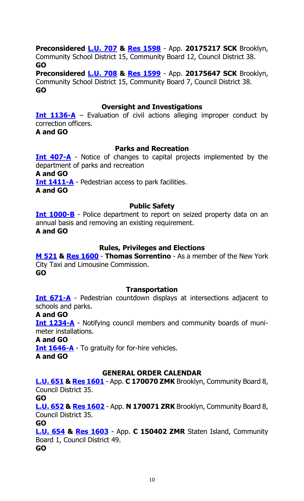### **Preconsidered [L.U. 707](http://legistar.council.nyc.gov/LegislationDetail.aspx?ID=3100134&GUID=BE273665-A23C-4AC5-B932-A0482D16F8C3&Options=&Search=) & Res [1598](http://legistar.council.nyc.gov/LegislationDetail.aspx?ID=3106124&GUID=E5D5E6BE-49B5-48EB-BE8B-9D9F792F53E6&Options=&Search=)** - App. **20175217 SCK** Brooklyn,

Community School District 15, Community Board 12, Council District 38. **GO**

**Preconsidered [L.U. 708](http://legistar.council.nyc.gov/LegislationDetail.aspx?ID=3100135&GUID=94AD037E-4F55-4C76-A06A-688DA3D4CF2A&Options=&Search=) & Res [1599](http://legistar.council.nyc.gov/LegislationDetail.aspx?ID=3106125&GUID=5F163FC0-1098-439C-89C9-E09472F4D196&Options=&Search=)** - App. **20175647 SCK** Brooklyn, Community School District 15, Community Board 7, Council District 38. **GO**

#### **Oversight and Investigations**

**[Int 1136-A](http://legistar.council.nyc.gov/LegislationDetail.aspx?ID=2683838&GUID=B29B0325-77BB-40C2-B0E7-AB501EC02A4B&Options=&Search=)** – Evaluation of civil actions alleging improper conduct by correction officers. **A and GO**

#### **Parks and Recreation**

**[Int 407-A](http://legistar.council.nyc.gov/LegislationDetail.aspx?ID=1825177&GUID=55198C60-50C9-4303-8E4E-783F82EB46DB&Options=&Search=)** - Notice of changes to capital projects implemented by the department of parks and recreation **A and GO [Int 1411-A](http://legistar.council.nyc.gov/LegislationDetail.aspx?ID=3105909&GUID=D00DDE24-999D-438C-A9A2-8CFBCBE587FC&Options=&Search=)** - Pedestrian access to park facilities. **A and GO**

### **Public Safety**

**[Int 1000-B](http://legistar.council.nyc.gov/LegislationDetail.aspx?ID=2513763&GUID=0C33F58D-343A-4E86-85E8-F2D9452C7712&Options=&Search=)** - Police department to report on seized property data on an annual basis and removing an existing requirement. **A and GO**

### **Rules, Privileges and Elections**

**[M 521](http://legistar.council.nyc.gov/LegislationDetail.aspx?ID=3085334&GUID=F97416A5-9B8B-4DF8-BFBB-285AFA648FE8&Options=&Search=) & [Res 1600](http://legistar.council.nyc.gov/LegislationDetail.aspx?ID=3106912&GUID=DAC0A3E2-D93C-4747-98E0-7B309A442F8B&Options=&Search=)** - **Thomas Sorrentino** - As a member of the New York City Taxi and Limousine Commission.

**GO**

### **Transportation**

**[Int 671-A](http://legistar.council.nyc.gov/LegislationDetail.aspx?ID=3105906&GUID=2C23700C-6C6A-405E-98B2-2F85176EBD64&Options=&Search=)** - Pedestrian countdown displays at intersections adjacent to schools and parks.

#### **A and GO**

**[Int 1234-A](http://legistar.council.nyc.gov/LegislationDetail.aspx?ID=3105907&GUID=C9F0DF32-7B22-4908-A533-D555BFEF0D12&Options=&Search=)** - Notifying council members and community boards of munimeter installations.

### **A and GO**

**[Int 1646-A](http://legistar.council.nyc.gov/LegislationDetail.aspx?ID=3105908&GUID=3831B293-21BE-4B74-94AF-8C99F2125AF7&Options=&Search=)** - To gratuity for for-hire vehicles.

**A and GO**

### **GENERAL ORDER CALENDAR**

**[L.U. 651](http://legistar.council.nyc.gov/LegislationDetail.aspx?ID=3055730&GUID=BC0D40A9-4AE7-4975-AE94-08E34CCB7385&Options=&Search=) & [Res 1601](http://legistar.council.nyc.gov/LegislationDetail.aspx?ID=3101088&GUID=D81DC75F-F52C-455C-9460-A0D0BFFAB403&Options=&Search=)** - App. **C 170070 ZMK** Brooklyn, Community Board 8, Council District 35.

#### **GO**

**[L.U. 652](http://legistar.council.nyc.gov/LegislationDetail.aspx?ID=3055731&GUID=D9ED01C8-711E-4ECD-8AE6-965B94501BE7&Options=&Search=) & [Res 1602](http://legistar.council.nyc.gov/LegislationDetail.aspx?ID=3101089&GUID=2EF21E6A-182D-4253-97D1-8ACCD5EBB164&Options=&Search=)** - App. **N 170071 ZRK** Brooklyn, Community Board 8, Council District 35.

**GO**

**[L.U. 654](http://legistar.council.nyc.gov/LegislationDetail.aspx?ID=3055733&GUID=8E59F716-1626-4861-A75C-8F61B70A6406&Options=&Search=) & [Res 1603](http://legistar.council.nyc.gov/LegislationDetail.aspx?ID=3101084&GUID=6BA4450A-1897-4038-88B4-FEAED82A97A6&Options=&Search=)** - App. **C 150402 ZMR** Staten Island, Community Board 1, Council District 49.

**GO**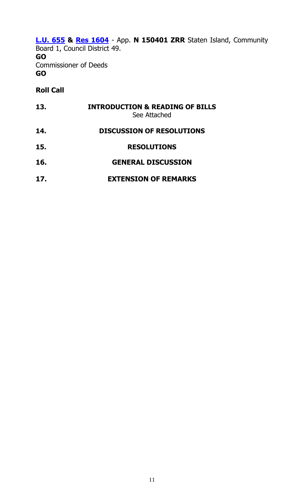### **[L.U. 655](http://legistar.council.nyc.gov/LegislationDetail.aspx?ID=3055734&GUID=75277DE3-C0C6-423E-9751-1F6EB4F9B204&Options=&Search=) & [Res 1604](http://legistar.council.nyc.gov/LegislationDetail.aspx?ID=3101090&GUID=9C72269E-9D46-48AB-BF66-917FCDF5D406&Options=&Search=)** - App. **N 150401 ZRR** Staten Island, Community

Board 1, Council District 49. **GO** Commissioner of Deeds **GO**

### **Roll Call**

| 13. | <b>INTRODUCTION &amp; READING OF BILLS</b><br>See Attached |
|-----|------------------------------------------------------------|
| 14. | <b>DISCUSSION OF RESOLUTIONS</b>                           |
| 15. | <b>RESOLUTIONS</b>                                         |
| 16. | <b>GENERAL DISCUSSION</b>                                  |
| 17. | <b>EXTENSION OF REMARKS</b>                                |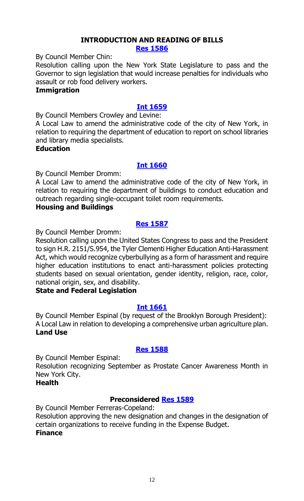#### **INTRODUCTION AND READING OF BILLS [Res 1586](http://legistar.council.nyc.gov/LegislationDetail.aspx?ID=3106753&GUID=F77DC76C-60B8-4D26-94B4-0D846A71188B&Options=&Search=)**

By Council Member Chin:

Resolution calling upon the New York State Legislature to pass and the Governor to sign legislation that would increase penalties for individuals who assault or rob food delivery workers.

#### **Immigration**

### **[Int 1659](http://legistar.council.nyc.gov/LegislationDetail.aspx?ID=3106773&GUID=5A673C19-8684-4769-86EA-3AFD8CCFA238&Options=&Search=)**

By Council Members Crowley and Levine:

A Local Law to amend the administrative code of the city of New York, in relation to requiring the department of education to report on school libraries and library media specialists.

**Education**

### **[Int 1660](http://legistar.council.nyc.gov/LegislationDetail.aspx?ID=3106772&GUID=0AF766D1-BF3A-46AE-8A05-5A2E6DD4758D&Options=&Search=)**

By Council Member Dromm:

A Local Law to amend the administrative code of the city of New York, in relation to requiring the department of buildings to conduct education and outreach regarding single-occupant toilet room requirements.

### **Housing and Buildings**

### **[Res 1587](http://legistar.council.nyc.gov/LegislationDetail.aspx?ID=3106774&GUID=75111AAD-DB75-48DE-A69C-F7BCFF37FA0D&Options=&Search=)**

By Council Member Dromm:

Resolution calling upon the United States Congress to pass and the President to sign H.R. 2151/S.954, the Tyler Clementi Higher Education Anti-Harassment Act, which would recognize cyberbullying as a form of harassment and require higher education institutions to enact anti-harassment policies protecting students based on sexual orientation, gender identity, religion, race, color, national origin, sex, and disability.

### **State and Federal Legislation**

### **[Int 1661](http://legistar.council.nyc.gov/LegislationDetail.aspx?ID=3106769&GUID=C1DA662E-E6E5-471D-91FF-170F1B12332A&Options=&Search=)**

By Council Member Espinal (by request of the Brooklyn Borough President): A Local Law in relation to developing a comprehensive urban agriculture plan. **Land Use**

### **[Res 1588](http://legistar.council.nyc.gov/LegislationDetail.aspx?ID=3106771&GUID=160D2FDA-691C-40FE-A054-37D45F92061E&Options=&Search=)**

By Council Member Espinal:

Resolution recognizing September as Prostate Cancer Awareness Month in New York City.

**Health**

### **Preconsidered [Res 1589](http://legistar.council.nyc.gov/LegislationDetail.aspx?ID=3103068&GUID=A9B08068-9100-45E6-8758-5C646D279657&Options=&Search=)**

By Council Member Ferreras-Copeland: Resolution approving the new designation and changes in the designation of certain organizations to receive funding in the Expense Budget. **Finance**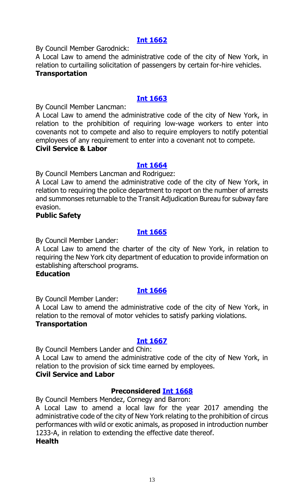### **[Int 1662](http://legistar.council.nyc.gov/LegislationDetail.aspx?ID=3106770&GUID=32538156-BD8F-4B56-BF2E-262C1C9B6207&Options=&Search=)**

By Council Member Garodnick:

A Local Law to amend the administrative code of the city of New York, in relation to curtailing solicitation of passengers by certain for-hire vehicles. **Transportation**

### **[Int 1663](http://legistar.council.nyc.gov/LegislationDetail.aspx?ID=3106790&GUID=CF72C6E8-ED15-493A-85FF-AAE26C72EEE6&Options=&Search=)**

By Council Member Lancman:

A Local Law to amend the administrative code of the city of New York, in relation to the prohibition of requiring low-wage workers to enter into covenants not to compete and also to require employers to notify potential employees of any requirement to enter into a covenant not to compete. **Civil Service & Labor**

### **[Int 1664](http://legistar.council.nyc.gov/LegislationDetail.aspx?ID=3106792&GUID=75B76B89-FD40-4CAF-978F-35D2F26EB913&Options=&Search=)**

By Council Members Lancman and Rodriguez:

A Local Law to amend the administrative code of the city of New York, in relation to requiring the police department to report on the number of arrests and summonses returnable to the Transit Adjudication Bureau for subway fare evasion.

### **Public Safety**

### **[Int 1665](http://legistar.council.nyc.gov/LegislationDetail.aspx?ID=3106793&GUID=650FB784-8338-427A-90CB-F9BE27F1A6B2&Options=&Search=)**

By Council Member Lander:

A Local Law to amend the charter of the city of New York, in relation to requiring the New York city department of education to provide information on establishing afterschool programs.

### **Education**

### **[Int 1666](http://legistar.council.nyc.gov/LegislationDetail.aspx?ID=3106789&GUID=ADA71817-28AB-4DA0-BB9E-D4EA90678BF3&Options=&Search=)**

By Council Member Lander:

A Local Law to amend the administrative code of the city of New York, in relation to the removal of motor vehicles to satisfy parking violations. **Transportation**

### **[Int 1667](http://legistar.council.nyc.gov/LegislationDetail.aspx?ID=3106791&GUID=0C14B8F3-37CF-4AF8-AFD2-57A1FBCA2990&Options=&Search=)**

By Council Members Lander and Chin:

A Local Law to amend the administrative code of the city of New York, in relation to the provision of sick time earned by employees.

### **Civil Service and Labor**

### **Preconsidered [Int 1668](http://legistar.council.nyc.gov/LegislationDetail.aspx?ID=3103627&GUID=39CEF469-C2EB-4F89-9352-BC8502ECBEC4&Options=&Search=)**

By Council Members Mendez, Cornegy and Barron:

A Local Law to amend a local law for the year 2017 amending the administrative code of the city of New York relating to the prohibition of circus performances with wild or exotic animals, as proposed in introduction number 1233-A, in relation to extending the effective date thereof.

### **Health**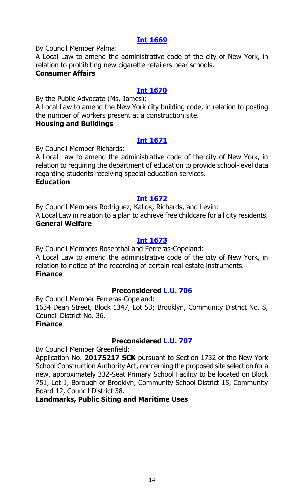### **[Int 1669](http://legistar.council.nyc.gov/LegislationDetail.aspx?ID=3106843&GUID=C55AE74C-3C1A-44EE-9112-3334743C72B6&Options=&Search=)**

By Council Member Palma:

A Local Law to amend the administrative code of the city of New York, in relation to prohibiting new cigarette retailers near schools.

### **Consumer Affairs**

### **[Int 1670](http://legistar.council.nyc.gov/LegislationDetail.aspx?ID=3106842&GUID=73C3609E-A17A-472E-B1E5-DF975BD7AC8C&Options=&Search=)**

By the Public Advocate (Ms. James):

A Local Law to amend the New York city building code, in relation to posting the number of workers present at a construction site.

### **Housing and Buildings**

### **[Int 1671](http://legistar.council.nyc.gov/LegislationDetail.aspx?ID=3106844&GUID=5362AD9B-E709-4AD7-A085-114F454DEAA8&Options=&Search=)**

By Council Member Richards:

A Local Law to amend the administrative code of the city of New York, in relation to requiring the department of education to provide school-level data regarding students receiving special education services.

#### **Education**

### **[Int 1672](http://legistar.council.nyc.gov/LegislationDetail.aspx?ID=3106846&GUID=191FFC06-4ABD-4DC6-953C-23D5256D447B&Options=&Search=)**

By Council Members Rodriguez, Kallos, Richards, and Levin: A Local Law in relation to a plan to achieve free childcare for all city residents. **General Welfare**

### **[Int 1673](http://legistar.council.nyc.gov/LegislationDetail.aspx?ID=3106845&GUID=22BF794F-C084-4E9F-897D-744084A549C7&Options=&Search=)**

By Council Members Rosenthal and Ferreras-Copeland: A Local Law to amend the administrative code of the city of New York, in relation to notice of the recording of certain real estate instruments. **Finance**

### **Preconsidered [L.U. 706](http://legistar.council.nyc.gov/LegislationDetail.aspx?ID=3103071&GUID=B642F0B3-C92D-4288-8999-50A850F1A3C9&Options=&Search=)**

By Council Member Ferreras-Copeland:

1634 Dean Street, Block 1347, Lot 53; Brooklyn, Community District No. 8, Council District No. 36.

### **Finance**

### **Preconsidered [L.U. 707](http://legistar.council.nyc.gov/LegislationDetail.aspx?ID=3100134&GUID=BE273665-A23C-4AC5-B932-A0482D16F8C3&Options=&Search=)**

By Council Member Greenfield:

Application No. **20175217 SCK** pursuant to Section 1732 of the New York School Construction Authority Act, concerning the proposed site selection for a new, approximately 332-Seat Primary School Facility to be located on Block 751, Lot 1, Borough of Brooklyn, Community School District 15, Community Board 12, Council District 38.

### **Landmarks, Public Siting and Maritime Uses**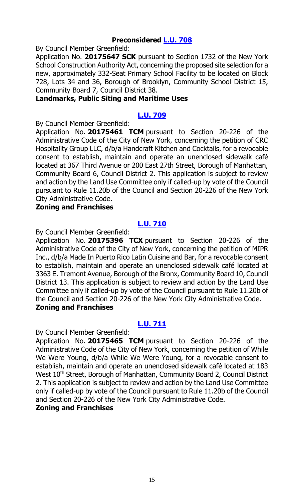### **Preconsidered [L.U. 708](http://legistar.council.nyc.gov/LegislationDetail.aspx?ID=3100135&GUID=94AD037E-4F55-4C76-A06A-688DA3D4CF2A&Options=&Search=)**

By Council Member Greenfield:

Application No. **20175647 SCK** pursuant to Section 1732 of the New York School Construction Authority Act, concerning the proposed site selection for a new, approximately 332-Seat Primary School Facility to be located on Block 728, Lots 34 and 36, Borough of Brooklyn, Community School District 15, Community Board 7, Council District 38.

### **Landmarks, Public Siting and Maritime Uses**

### **[L.U. 709](http://legistar.council.nyc.gov/LegislationDetail.aspx?ID=3106806&GUID=63F6CB11-27C2-479D-ABAE-881DDB2BF96C&Options=&Search=)**

By Council Member Greenfield:

Application No. **20175461 TCM** pursuant to Section 20-226 of the Administrative Code of the City of New York, concerning the petition of CRC Hospitality Group LLC, d/b/a Handcraft Kitchen and Cocktails, for a revocable consent to establish, maintain and operate an unenclosed sidewalk café located at 367 Third Avenue or 200 East 27th Street, Borough of Manhattan, Community Board 6, Council District 2. This application is subject to review and action by the Land Use Committee only if called-up by vote of the Council pursuant to Rule 11.20b of the Council and Section 20-226 of the New York City Administrative Code.

#### **Zoning and Franchises**

### **[L.U. 710](http://legistar.council.nyc.gov/LegislationDetail.aspx?ID=3106807&GUID=EB581C68-CF52-42AB-B250-99CE611C6C5E&Options=&Search=)**

By Council Member Greenfield:

Application No. **20175396 TCX** pursuant to Section 20-226 of the Administrative Code of the City of New York, concerning the petition of MIPR Inc., d/b/a Made In Puerto Rico Latin Cuisine and Bar, for a revocable consent to establish, maintain and operate an unenclosed sidewalk café located at 3363 E. Tremont Avenue, Borough of the Bronx, Community Board 10, Council District 13. This application is subject to review and action by the Land Use Committee only if called-up by vote of the Council pursuant to Rule 11.20b of the Council and Section 20-226 of the New York City Administrative Code. **Zoning and Franchises**

### **[L.U. 711](http://legistar.council.nyc.gov/LegislationDetail.aspx?ID=3106808&GUID=EF8A70A5-BEF7-4083-A1AA-BFA8FB2EE2B3&Options=&Search=)**

By Council Member Greenfield:

Application No. **20175465 TCM** pursuant to Section 20-226 of the Administrative Code of the City of New York, concerning the petition of While We Were Young, d/b/a While We Were Young, for a revocable consent to establish, maintain and operate an unenclosed sidewalk café located at 183 West 10<sup>th</sup> Street, Borough of Manhattan, Community Board 2, Council District 2. This application is subject to review and action by the Land Use Committee only if called-up by vote of the Council pursuant to Rule 11.20b of the Council and Section 20-226 of the New York City Administrative Code.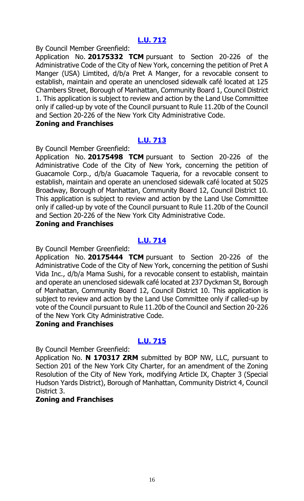By Council Member Greenfield:

Application No. **20175332 TCM** pursuant to Section 20-226 of the Administrative Code of the City of New York, concerning the petition of Pret A Manger (USA) Limtited, d/b/a Pret A Manger, for a revocable consent to establish, maintain and operate an unenclosed sidewalk café located at 125 Chambers Street, Borough of Manhattan, Community Board 1, Council District 1. This application is subject to review and action by the Land Use Committee only if called-up by vote of the Council pursuant to Rule 11.20b of the Council and Section 20-226 of the New York City Administrative Code.

### **Zoning and Franchises**

### **[L.U. 713](http://legistar.council.nyc.gov/LegislationDetail.aspx?ID=3106810&GUID=7F4089F6-71F3-402C-8738-451C7208FB94&Options=&Search=)**

By Council Member Greenfield:

Application No. **20175498 TCM** pursuant to Section 20-226 of the Administrative Code of the City of New York, concerning the petition of Guacamole Corp., d/b/a Guacamole Taqueria, for a revocable consent to establish, maintain and operate an unenclosed sidewalk café located at 5025 Broadway, Borough of Manhattan, Community Board 12, Council District 10. This application is subject to review and action by the Land Use Committee only if called-up by vote of the Council pursuant to Rule 11.20b of the Council and Section 20-226 of the New York City Administrative Code.

### **Zoning and Franchises**

### **[L.U. 714](http://legistar.council.nyc.gov/LegislationDetail.aspx?ID=3106811&GUID=E3CFCFCE-6A55-441A-8796-977BDCACA154&Options=&Search=)**

By Council Member Greenfield:

Application No. **20175444 TCM** pursuant to Section 20-226 of the Administrative Code of the City of New York, concerning the petition of Sushi Vida Inc., d/b/a Mama Sushi, for a revocable consent to establish, maintain and operate an unenclosed sidewalk café located at 237 Dyckman St, Borough of Manhattan, Community Board 12, Council District 10. This application is subject to review and action by the Land Use Committee only if called-up by vote of the Council pursuant to Rule 11.20b of the Council and Section 20-226 of the New York City Administrative Code.

### **Zoning and Franchises**

### **[L.U. 715](http://legistar.council.nyc.gov/LegislationDetail.aspx?ID=3106819&GUID=9A44185D-5A04-4C54-A1DD-866567F2E1CB&Options=&Search=)**

By Council Member Greenfield:

Application No. **N 170317 ZRM** submitted by BOP NW, LLC, pursuant to Section 201 of the New York City Charter, for an amendment of the Zoning Resolution of the City of New York, modifying Article IX, Chapter 3 (Special Hudson Yards District), Borough of Manhattan, Community District 4, Council District 3.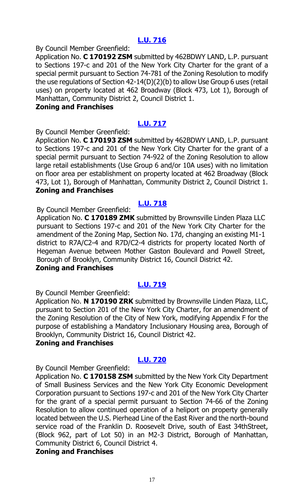By Council Member Greenfield:

Application No. **C 170192 ZSM** submitted by 462BDWY LAND, L.P. pursuant to Sections 197-c and 201 of the New York City Charter for the grant of a special permit pursuant to Section 74-781 of the Zoning Resolution to modify the use regulations of Section 42-14(D)(2)(b) to allow Use Group 6 uses (retail uses) on property located at 462 Broadway (Block 473, Lot 1), Borough of Manhattan, Community District 2, Council District 1.

#### **Zoning and Franchises**

### **[L.U. 717](http://legistar.council.nyc.gov/LegislationDetail.aspx?ID=3106821&GUID=4C6BE620-AC18-48E8-A254-B686382DF580&Options=&Search=)**

By Council Member Greenfield:

Application No. **C 170193 ZSM** submitted by 462BDWY LAND, L.P. pursuant to Sections 197-c and 201 of the New York City Charter for the grant of a special permit pursuant to Section 74-922 of the Zoning Resolution to allow large retail establishments (Use Group 6 and/or 10A uses) with no limitation on floor area per establishment on property located at 462 Broadway (Block 473, Lot 1), Borough of Manhattan, Community District 2, Council District 1. **Zoning and Franchises**

### **[L.U. 718](http://legistar.council.nyc.gov/LegislationDetail.aspx?ID=3106822&GUID=930A08A8-B971-4066-B2B5-3A16580CE73A&Options=&Search=)**

By Council Member Greenfield:

Application No. **C 170189 ZMK** submitted by Brownsville Linden Plaza LLC pursuant to Sections 197-c and 201 of the New York City Charter for the amendment of the Zoning Map, Section No. 17d, changing an existing M1-1 district to R7A/C2-4 and R7D/C2-4 districts for property located North of Hegeman Avenue between Mother Gaston Boulevard and Powell Street, Borough of Brooklyn, Community District 16, Council District 42.

### **Zoning and Franchises**

### **[L.U. 719](http://legistar.council.nyc.gov/LegislationDetail.aspx?ID=3106823&GUID=B1D7612A-122F-413F-B7D4-3FBFEC045E34&Options=&Search=)**

By Council Member Greenfield:

Application No. **N 170190 ZRK** submitted by Brownsville Linden Plaza, LLC, pursuant to Section 201 of the New York City Charter, for an amendment of the Zoning Resolution of the City of New York, modifying Appendix F for the purpose of establishing a Mandatory Inclusionary Housing area, Borough of Brooklyn, Community District 16, Council District 42.

### **Zoning and Franchises**

### **[L.U. 720](http://legistar.council.nyc.gov/LegislationDetail.aspx?ID=3106824&GUID=D1A94EC7-F1D0-4643-B6A3-D72320BDF2EB&Options=&Search=)**

By Council Member Greenfield:

Application No. **C 170158 ZSM** submitted by the New York City Department of Small Business Services and the New York City Economic Development Corporation pursuant to Sections 197-c and 201 of the New York City Charter for the grant of a special permit pursuant to Section 74-66 of the Zoning Resolution to allow continued operation of a heliport on property generally located between the U.S. Pierhead Line of the East River and the north-bound service road of the Franklin D. Roosevelt Drive, south of East 34thStreet, (Block 962, part of Lot 50) in an M2-3 District, Borough of Manhattan, Community District 6, Council District 4.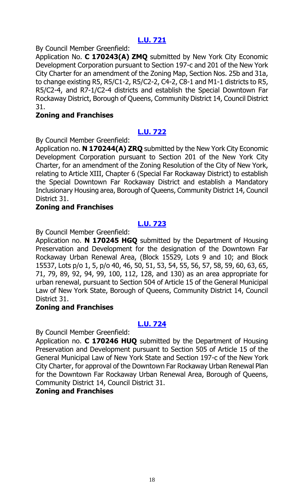By Council Member Greenfield:

Application No. **C 170243(A) ZMQ** submitted by New York City Economic Development Corporation pursuant to Section 197-c and 201 of the New York City Charter for an amendment of the Zoning Map, Section Nos. 25b and 31a, to change existing R5, R5/C1-2, R5/C2-2, C4-2, C8-1 and M1-1 districts to R5, R5/C2-4, and R7-1/C2-4 districts and establish the Special Downtown Far Rockaway District, Borough of Queens, Community District 14, Council District 31.

### **Zoning and Franchises**

### **[L.U. 722](http://legistar.council.nyc.gov/LegislationDetail.aspx?ID=3106826&GUID=765DB817-8341-4733-A5A2-9C41C7E94889&Options=&Search=)**

By Council Member Greenfield:

Application no. **N 170244(A) ZRQ** submitted by the New York City Economic Development Corporation pursuant to Section 201 of the New York City Charter, for an amendment of the Zoning Resolution of the City of New York, relating to Article XIII, Chapter 6 (Special Far Rockaway District) to establish the Special Downtown Far Rockaway District and establish a Mandatory Inclusionary Housing area, Borough of Queens, Community District 14, Council District 31.

#### **Zoning and Franchises**

### **[L.U. 723](http://legistar.council.nyc.gov/LegislationDetail.aspx?ID=3106830&GUID=679EA66F-D43F-49D6-9431-F9B6E83317E1&Options=&Search=)**

By Council Member Greenfield:

Application no. **N 170245 HGQ** submitted by the Department of Housing Preservation and Development for the designation of the Downtown Far Rockaway Urban Renewal Area, (Block 15529, Lots 9 and 10; and Block 15537, Lots p/o 1, 5, p/o 40, 46, 50, 51, 53, 54, 55, 56, 57, 58, 59, 60, 63, 65, 71, 79, 89, 92, 94, 99, 100, 112, 128, and 130) as an area appropriate for urban renewal, pursuant to Section 504 of Article 15 of the General Municipal Law of New York State, Borough of Queens, Community District 14, Council District 31.

### **Zoning and Franchises**

### **[L.U. 724](http://legistar.council.nyc.gov/LegislationDetail.aspx?ID=3106831&GUID=989A5245-0E3C-4D71-A317-FC4E20A8E029&Options=&Search=)**

By Council Member Greenfield:

Application no. **C 170246 HUQ** submitted by the Department of Housing Preservation and Development pursuant to Section 505 of Article 15 of the General Municipal Law of New York State and Section 197-c of the New York City Charter, for approval of the Downtown Far Rockaway Urban Renewal Plan for the Downtown Far Rockaway Urban Renewal Area, Borough of Queens, Community District 14, Council District 31.